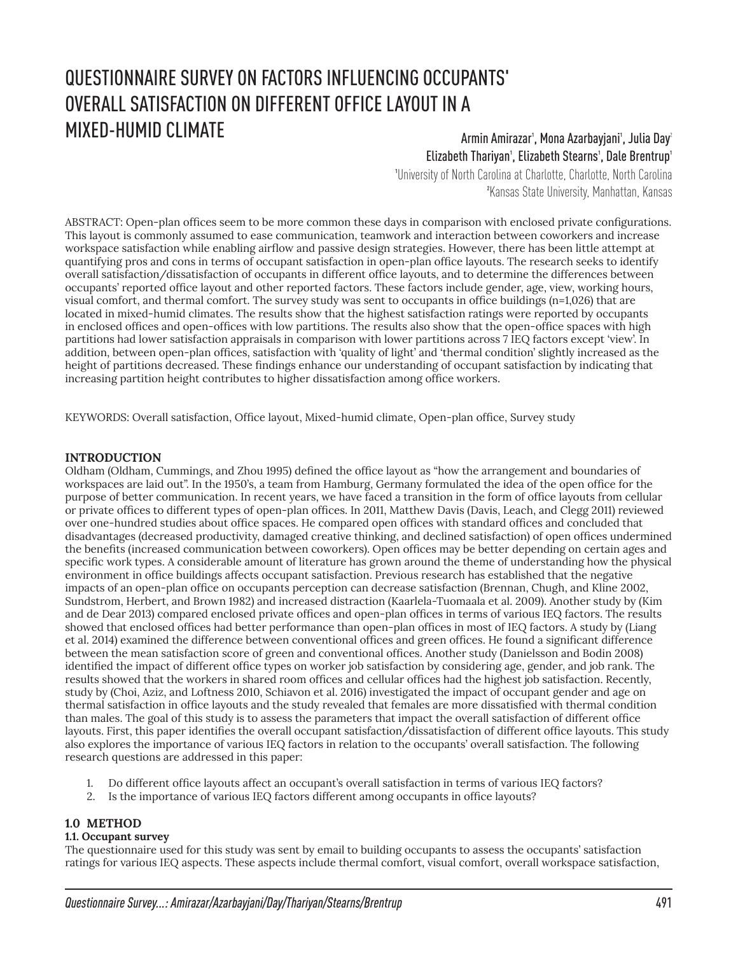# QUESTIONNAIRE SURVEY ON FACTORS INFLUENCING OCCUPANTS' OVERALL SATISFACTION ON DIFFERENT OFFICE LAYOUT IN A MIXED-HUMID CLIMATE Armin Amirazar<sup>1</sup>, Mona Azarbayjani<sup>1</sup>, Julia Day<sup>2</sup>

# Elizabeth Thariyan<sup>1</sup>, Elizabeth Stearns<sup>1</sup>, Dale Brentrup<sup>1</sup>

1University of North Carolina at Charlotte, Charlotte, North Carolina 2Kansas State University, Manhattan, Kansas

ABSTRACT: Open-plan offices seem to be more common these days in comparison with enclosed private configurations. This layout is commonly assumed to ease communication, teamwork and interaction between coworkers and increase workspace satisfaction while enabling airflow and passive design strategies. However, there has been little attempt at quantifying pros and cons in terms of occupant satisfaction in open-plan office layouts. The research seeks to identify overall satisfaction/dissatisfaction of occupants in different office layouts, and to determine the differences between occupants' reported office layout and other reported factors. These factors include gender, age, view, working hours, visual comfort, and thermal comfort. The survey study was sent to occupants in office buildings (n=1,026) that are located in mixed-humid climates. The results show that the highest satisfaction ratings were reported by occupants in enclosed offices and open-offices with low partitions. The results also show that the open-office spaces with high partitions had lower satisfaction appraisals in comparison with lower partitions across 7 IEQ factors except 'view'. In addition, between open-plan offices, satisfaction with 'quality of light' and 'thermal condition' slightly increased as the height of partitions decreased. These findings enhance our understanding of occupant satisfaction by indicating that increasing partition height contributes to higher dissatisfaction among office workers.

KEYWORDS: Overall satisfaction, Office layout, Mixed-humid climate, Open-plan office, Survey study

# **INTRODUCTION**

Oldham (Oldham, Cummings, and Zhou 1995) defined the office layout as "how the arrangement and boundaries of workspaces are laid out". In the 1950's, a team from Hamburg, Germany formulated the idea of the open office for the purpose of better communication. In recent years, we have faced a transition in the form of office layouts from cellular or private offices to different types of open-plan offices. In 2011, Matthew Davis (Davis, Leach, and Clegg 2011) reviewed over one-hundred studies about office spaces. He compared open offices with standard offices and concluded that disadvantages (decreased productivity, damaged creative thinking, and declined satisfaction) of open offices undermined the benefits (increased communication between coworkers). Open offices may be better depending on certain ages and specific work types. A considerable amount of literature has grown around the theme of understanding how the physical environment in office buildings affects occupant satisfaction. Previous research has established that the negative impacts of an open-plan office on occupants perception can decrease satisfaction (Brennan, Chugh, and Kline 2002, Sundstrom, Herbert, and Brown 1982) and increased distraction (Kaarlela-Tuomaala et al. 2009). Another study by (Kim and de Dear 2013) compared enclosed private offices and open-plan offices in terms of various IEQ factors. The results showed that enclosed offices had better performance than open-plan offices in most of IEQ factors. A study by (Liang et al. 2014) examined the difference between conventional offices and green offices. He found a significant difference between the mean satisfaction score of green and conventional offices. Another study (Danielsson and Bodin 2008) identified the impact of different office types on worker job satisfaction by considering age, gender, and job rank. The results showed that the workers in shared room offices and cellular offices had the highest job satisfaction. Recently, study by (Choi, Aziz, and Loftness 2010, Schiavon et al. 2016) investigated the impact of occupant gender and age on thermal satisfaction in office layouts and the study revealed that females are more dissatisfied with thermal condition than males. The goal of this study is to assess the parameters that impact the overall satisfaction of different office layouts. First, this paper identifies the overall occupant satisfaction/dissatisfaction of different office layouts. This study also explores the importance of various IEQ factors in relation to the occupants' overall satisfaction. The following research questions are addressed in this paper:

- 1. Do different office layouts affect an occupant's overall satisfaction in terms of various IEQ factors?
- 2. Is the importance of various IEQ factors different among occupants in office layouts?

# **1.0 METHOD**

#### **1.1. Occupant survey**

The questionnaire used for this study was sent by email to building occupants to assess the occupants' satisfaction ratings for various IEQ aspects. These aspects include thermal comfort, visual comfort, overall workspace satisfaction,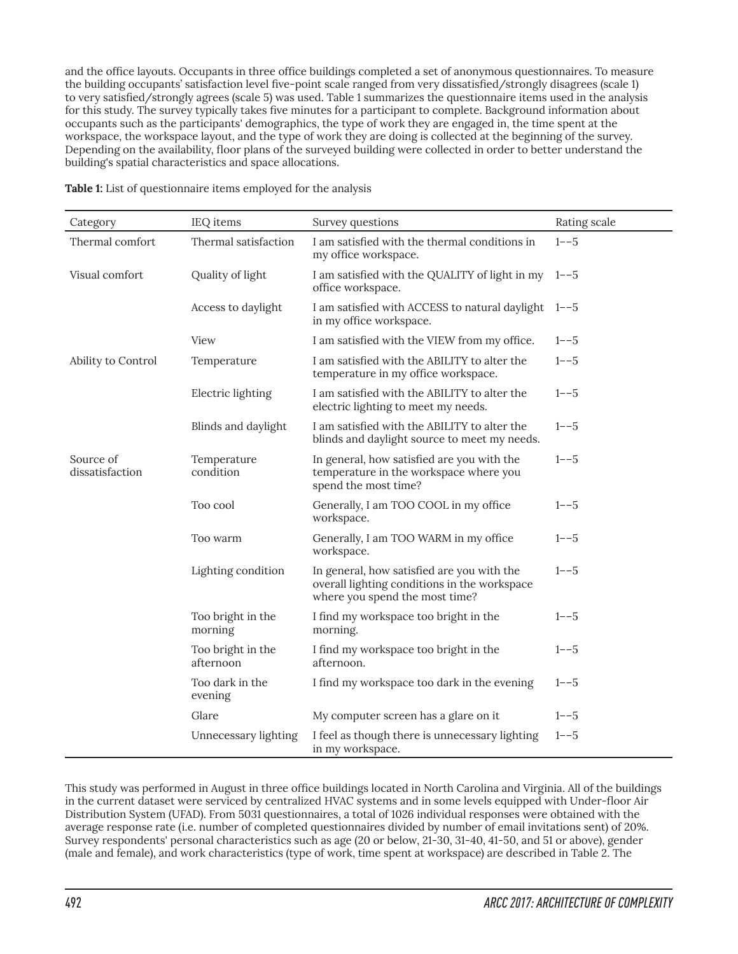and the office layouts. Occupants in three office buildings completed a set of anonymous questionnaires. To measure the building occupants' satisfaction level five-point scale ranged from very dissatisfied/strongly disagrees (scale 1) to very satisfied/strongly agrees (scale 5) was used. Table 1 summarizes the questionnaire items used in the analysis for this study. The survey typically takes five minutes for a participant to complete. Background information about occupants such as the participants' demographics, the type of work they are engaged in, the time spent at the workspace, the workspace layout, and the type of work they are doing is collected at the beginning of the survey. Depending on the availability, floor plans of the surveyed building were collected in order to better understand the building's spatial characteristics and space allocations.

| Category                     | IEQ items                      | Survey questions                                                                                                             | Rating scale |
|------------------------------|--------------------------------|------------------------------------------------------------------------------------------------------------------------------|--------------|
| Thermal comfort              | Thermal satisfaction           | I am satisfied with the thermal conditions in<br>my office workspace.                                                        | $1 - -5$     |
| Visual comfort               | Quality of light               | I am satisfied with the QUALITY of light in my 1--5<br>office workspace.                                                     |              |
|                              | Access to daylight             | I am satisfied with ACCESS to natural daylight<br>in my office workspace.                                                    | $1 - -5$     |
|                              | View                           | I am satisfied with the VIEW from my office.                                                                                 | $1 - -5$     |
| Ability to Control           | Temperature                    | I am satisfied with the ABILITY to alter the<br>temperature in my office workspace.                                          | $1 - -5$     |
|                              | Electric lighting              | I am satisfied with the ABILITY to alter the<br>electric lighting to meet my needs.                                          | $1 - -5$     |
|                              | Blinds and daylight            | I am satisfied with the ABILITY to alter the<br>blinds and daylight source to meet my needs.                                 | $1 - -5$     |
| Source of<br>dissatisfaction | Temperature<br>condition       | In general, how satisfied are you with the<br>temperature in the workspace where you<br>spend the most time?                 | $1 - -5$     |
|                              | Too cool                       | Generally, I am TOO COOL in my office<br>workspace.                                                                          | $1 - -5$     |
|                              | Too warm                       | Generally, I am TOO WARM in my office<br>workspace.                                                                          | $1 - -5$     |
|                              | Lighting condition             | In general, how satisfied are you with the<br>overall lighting conditions in the workspace<br>where you spend the most time? | $1 - -5$     |
|                              | Too bright in the<br>morning   | I find my workspace too bright in the<br>morning.                                                                            | $1 - -5$     |
|                              | Too bright in the<br>afternoon | I find my workspace too bright in the<br>afternoon.                                                                          | $1 - -5$     |
|                              | Too dark in the<br>evening     | I find my workspace too dark in the evening                                                                                  | $1 - -5$     |
|                              | Glare                          | My computer screen has a glare on it                                                                                         | $1 - -5$     |
|                              | Unnecessary lighting           | I feel as though there is unnecessary lighting<br>in my workspace.                                                           | $1 - -5$     |

**Table 1:** List of questionnaire items employed for the analysis

This study was performed in August in three office buildings located in North Carolina and Virginia. All of the buildings in the current dataset were serviced by centralized HVAC systems and in some levels equipped with Under-floor Air Distribution System (UFAD). From 5031 questionnaires, a total of 1026 individual responses were obtained with the average response rate (i.e. number of completed questionnaires divided by number of email invitations sent) of 20%. Survey respondents' personal characteristics such as age (20 or below, 21-30, 31-40, 41-50, and 51 or above), gender (male and female), and work characteristics (type of work, time spent at workspace) are described in Table 2. The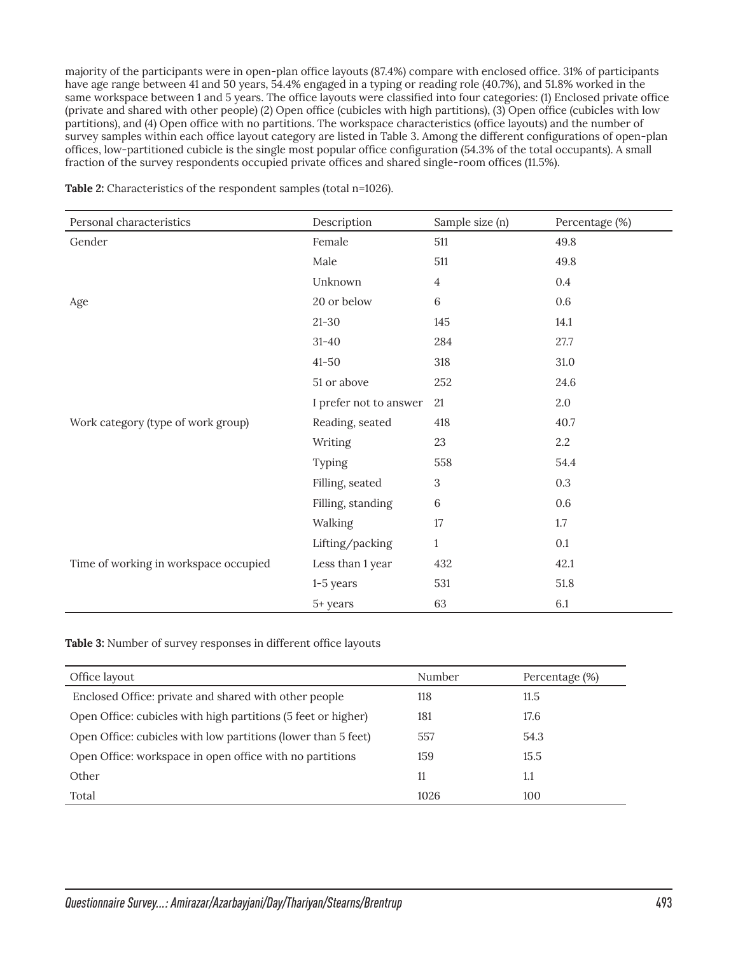majority of the participants were in open-plan office layouts (87.4%) compare with enclosed office. 31% of participants have age range between 41 and 50 years, 54.4% engaged in a typing or reading role (40.7%), and 51.8% worked in the same workspace between 1 and 5 years. The office layouts were classified into four categories: (1) Enclosed private office (private and shared with other people) (2) Open office (cubicles with high partitions), (3) Open office (cubicles with low partitions), and (4) Open office with no partitions. The workspace characteristics (office layouts) and the number of survey samples within each office layout category are listed in Table 3. Among the different configurations of open-plan offices, low-partitioned cubicle is the single most popular office configuration (54.3% of the total occupants). A small fraction of the survey respondents occupied private offices and shared single-room offices (11.5%).

| Personal characteristics              | Description            | Sample size (n) | Percentage (%) |  |
|---------------------------------------|------------------------|-----------------|----------------|--|
| Gender                                | Female                 | 511             | 49.8           |  |
|                                       | Male                   | 511             | 49.8           |  |
|                                       | Unknown                | $\overline{4}$  | $0.4\,$        |  |
| Age                                   | 20 or below            | $6\phantom{1}$  | $0.6\,$        |  |
|                                       | $21 - 30$              | 145             | 14.1           |  |
|                                       | $31 - 40$              | 284             | 27.7           |  |
|                                       | $41 - 50$              | 318             | $31.0\,$       |  |
|                                       | 51 or above            | 252             | 24.6           |  |
|                                       | I prefer not to answer | 21              | 2.0            |  |
| Work category (type of work group)    | Reading, seated        | 418             | 40.7           |  |
|                                       | Writing                | 23              | 2.2            |  |
|                                       | Typing                 | 558             | 54.4           |  |
|                                       | Filling, seated        | 3               | $0.3\,$        |  |
|                                       | Filling, standing      | $\,6\,$         | $0.6\,$        |  |
|                                       | Walking                | 17              | 1.7            |  |
|                                       | Lifting/packing        | $\mathbf{1}$    | 0.1            |  |
| Time of working in workspace occupied | Less than 1 year       | 432             | 42.1           |  |
|                                       | $1-5$ years            | 531             | 51.8           |  |
|                                       | 5+ years               | 63              | 6.1            |  |

Table 2: Characteristics of the respondent samples (total n=1026).

**Table 3:** Number of survey responses in different office layouts

| Office layout                                                 | Number | Percentage (%) |  |
|---------------------------------------------------------------|--------|----------------|--|
| Enclosed Office: private and shared with other people         | 118    | 11.5           |  |
| Open Office: cubicles with high partitions (5 feet or higher) | 181    | 17.6           |  |
| Open Office: cubicles with low partitions (lower than 5 feet) | 557    | 54.3           |  |
| Open Office: workspace in open office with no partitions      | 159    | 15.5           |  |
| Other                                                         | 11     | 1.1            |  |
| Total                                                         | 1026   | 100            |  |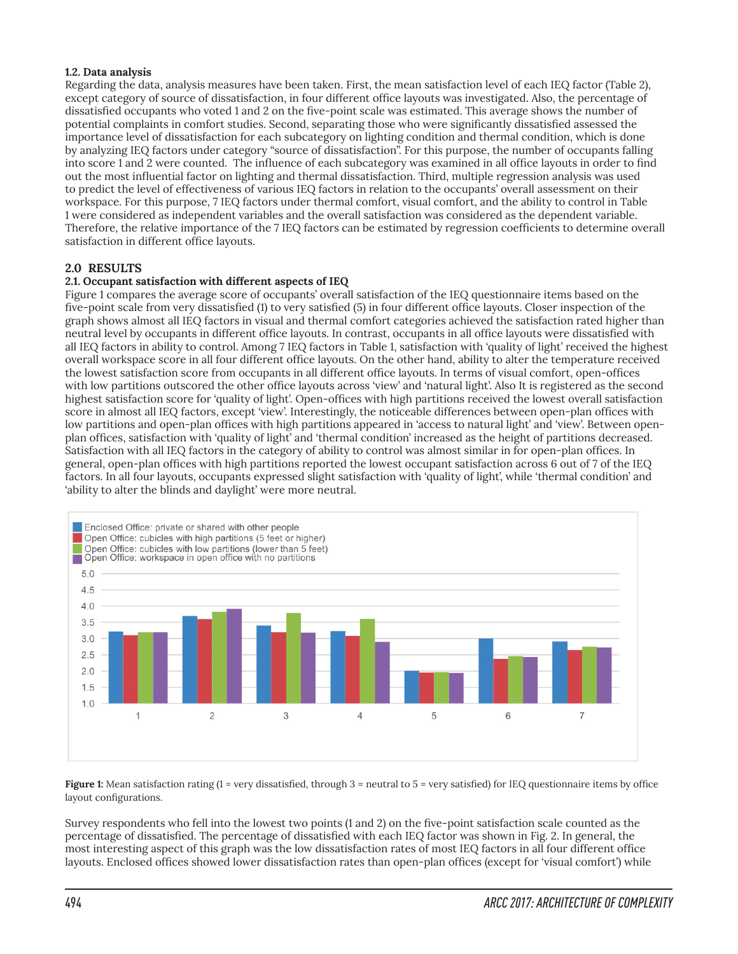#### **1.2. Data analysis**

Regarding the data, analysis measures have been taken. First, the mean satisfaction level of each IEQ factor (Table 2), except category of source of dissatisfaction, in four different office layouts was investigated. Also, the percentage of dissatisfied occupants who voted 1 and 2 on the five-point scale was estimated. This average shows the number of potential complaints in comfort studies. Second, separating those who were significantly dissatisfied assessed the importance level of dissatisfaction for each subcategory on lighting condition and thermal condition, which is done by analyzing IEQ factors under category "source of dissatisfaction". For this purpose, the number of occupants falling into score 1 and 2 were counted. The influence of each subcategory was examined in all office layouts in order to find out the most influential factor on lighting and thermal dissatisfaction. Third, multiple regression analysis was used to predict the level of effectiveness of various IEQ factors in relation to the occupants' overall assessment on their workspace. For this purpose, 7 IEQ factors under thermal comfort, visual comfort, and the ability to control in Table 1 were considered as independent variables and the overall satisfaction was considered as the dependent variable. Therefore, the relative importance of the 7 IEQ factors can be estimated by regression coefficients to determine overall satisfaction in different office layouts.

# **2.0 RESULTS**

#### **2.1. Occupant satisfaction with different aspects of IEQ**

Figure 1 compares the average score of occupants' overall satisfaction of the IEQ questionnaire items based on the five-point scale from very dissatisfied (1) to very satisfied (5) in four different office layouts. Closer inspection of the graph shows almost all IEQ factors in visual and thermal comfort categories achieved the satisfaction rated higher than neutral level by occupants in different office layouts. In contrast, occupants in all office layouts were dissatisfied with all IEQ factors in ability to control. Among 7 IEQ factors in Table 1, satisfaction with 'quality of light' received the highest overall workspace score in all four different office layouts. On the other hand, ability to alter the temperature received the lowest satisfaction score from occupants in all different office layouts. In terms of visual comfort, open-offices with low partitions outscored the other office layouts across 'view' and 'natural light'. Also It is registered as the second highest satisfaction score for 'quality of light'. Open-offices with high partitions received the lowest overall satisfaction score in almost all IEQ factors, except 'view'. Interestingly, the noticeable differences between open-plan offices with low partitions and open-plan offices with high partitions appeared in 'access to natural light' and 'view'. Between openplan offices, satisfaction with 'quality of light' and 'thermal condition' increased as the height of partitions decreased. Satisfaction with all IEQ factors in the category of ability to control was almost similar in for open-plan offices. In general, open-plan offices with high partitions reported the lowest occupant satisfaction across 6 out of 7 of the IEQ factors. In all four layouts, occupants expressed slight satisfaction with 'quality of light', while 'thermal condition' and 'ability to alter the blinds and daylight' were more neutral.



**Figure 1:** Mean satisfaction rating (1 = very dissatisfied, through 3 = neutral to 5 = very satisfied) for IEQ questionnaire items by office layout configurations.

Survey respondents who fell into the lowest two points (1 and 2) on the five-point satisfaction scale counted as the percentage of dissatisfied. The percentage of dissatisfied with each IEQ factor was shown in Fig. 2. In general, the most interesting aspect of this graph was the low dissatisfaction rates of most IEQ factors in all four different office layouts. Enclosed offices showed lower dissatisfaction rates than open-plan offices (except for 'visual comfort') while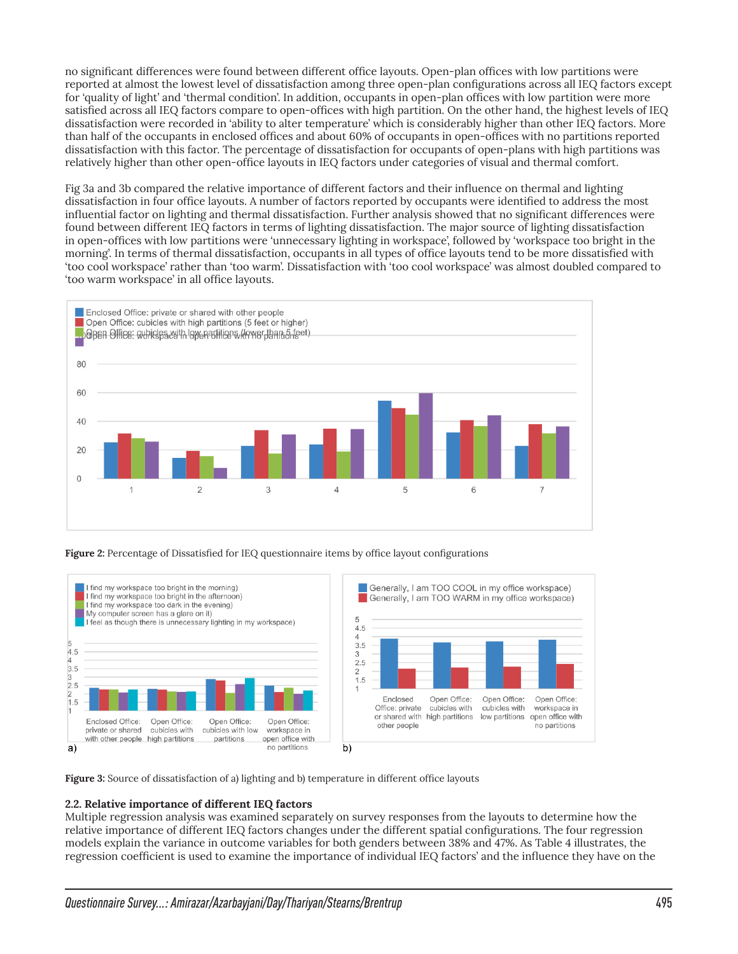no significant differences were found between different office layouts. Open-plan offices with low partitions were reported at almost the lowest level of dissatisfaction among three open-plan configurations across all IEQ factors except for 'quality of light' and 'thermal condition'. In addition, occupants in open-plan offices with low partition were more satisfied across all IEQ factors compare to open-offices with high partition. On the other hand, the highest levels of IEQ dissatisfaction were recorded in 'ability to alter temperature' which is considerably higher than other IEQ factors. More than half of the occupants in enclosed offices and about 60% of occupants in open-offices with no partitions reported dissatisfaction with this factor. The percentage of dissatisfaction for occupants of open-plans with high partitions was relatively higher than other open-office layouts in IEQ factors under categories of visual and thermal comfort.

Fig 3a and 3b compared the relative importance of different factors and their influence on thermal and lighting dissatisfaction in four office layouts. A number of factors reported by occupants were identified to address the most influential factor on lighting and thermal dissatisfaction. Further analysis showed that no significant differences were found between different IEQ factors in terms of lighting dissatisfaction. The major source of lighting dissatisfaction in open-offices with low partitions were 'unnecessary lighting in workspace', followed by 'workspace too bright in the morning'. In terms of thermal dissatisfaction, occupants in all types of office layouts tend to be more dissatisfied with 'too cool workspace' rather than 'too warm'. Dissatisfaction with 'too cool workspace' was almost doubled compared to 'too warm workspace' in all office layouts.



**Figure 2:** Percentage of Dissatisfied for IEQ questionnaire items by office layout configurations



**Figure 3:** Source of dissatisfaction of a) lighting and b) temperature in different office layouts

#### **2.2. Relative importance of different IEQ factors**

Multiple regression analysis was examined separately on survey responses from the layouts to determine how the relative importance of different IEQ factors changes under the different spatial configurations. The four regression models explain the variance in outcome variables for both genders between 38% and 47%. As Table 4 illustrates, the regression coefficient is used to examine the importance of individual IEQ factors' and the influence they have on the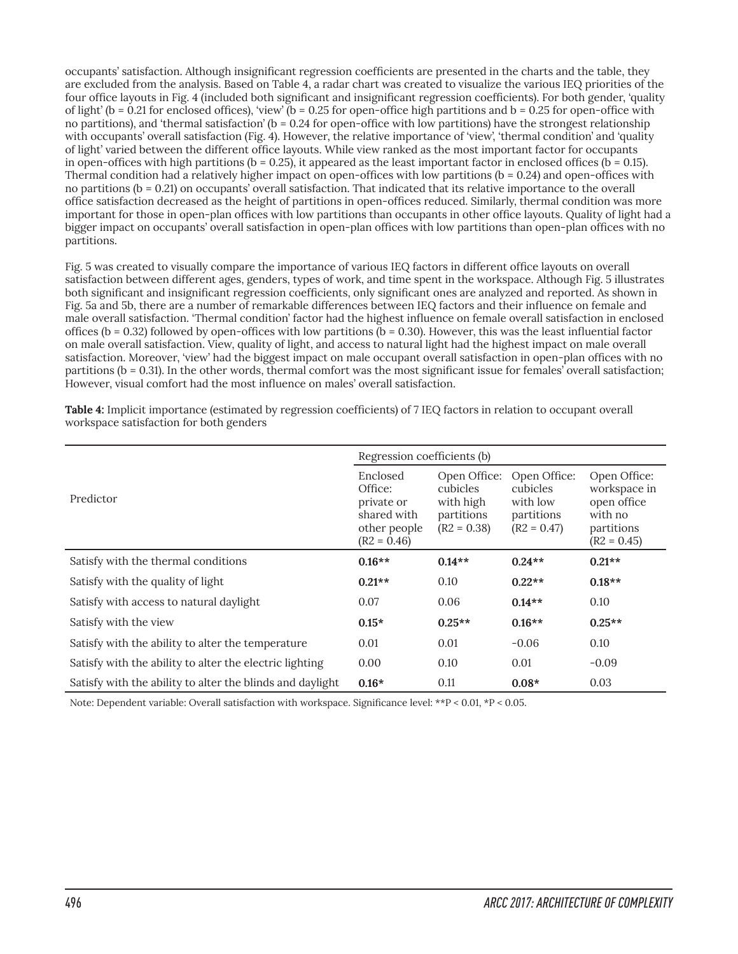occupants' satisfaction. Although insignificant regression coefficients are presented in the charts and the table, they are excluded from the analysis. Based on Table 4, a radar chart was created to visualize the various IEQ priorities of the four office layouts in Fig. 4 (included both significant and insignificant regression coefficients). For both gender, 'quality of light' ( $b = 0.21$  for enclosed offices), 'view' ( $b = 0.25$  for open-office high partitions and  $b = 0.25$  for open-office with no partitions), and 'thermal satisfaction' ( $b = 0.24$  for open-office with low partitions) have the strongest relationship with occupants' overall satisfaction (Fig. 4). However, the relative importance of 'view', 'thermal condition' and 'quality of light' varied between the different office layouts. While view ranked as the most important factor for occupants in open-offices with high partitions ( $b = 0.25$ ), it appeared as the least important factor in enclosed offices ( $b = 0.15$ ). Thermal condition had a relatively higher impact on open-offices with low partitions ( $b = 0.24$ ) and open-offices with no partitions (b = 0.21) on occupants' overall satisfaction. That indicated that its relative importance to the overall office satisfaction decreased as the height of partitions in open-offices reduced. Similarly, thermal condition was more important for those in open-plan offices with low partitions than occupants in other office layouts. Quality of light had a bigger impact on occupants' overall satisfaction in open-plan offices with low partitions than open-plan offices with no partitions.

Fig. 5 was created to visually compare the importance of various IEQ factors in different office layouts on overall satisfaction between different ages, genders, types of work, and time spent in the workspace. Although Fig. 5 illustrates both significant and insignificant regression coefficients, only significant ones are analyzed and reported. As shown in Fig. 5a and 5b, there are a number of remarkable differences between IEQ factors and their influence on female and male overall satisfaction. 'Thermal condition' factor had the highest influence on female overall satisfaction in enclosed offices (b = 0.32) followed by open-offices with low partitions (b = 0.30). However, this was the least influential factor on male overall satisfaction. View, quality of light, and access to natural light had the highest impact on male overall satisfaction. Moreover, 'view' had the biggest impact on male occupant overall satisfaction in open-plan offices with no partitions (b = 0.31). In the other words, thermal comfort was the most significant issue for females' overall satisfaction; However, visual comfort had the most influence on males' overall satisfaction.

|                                                           | Regression coefficients (b)                                                       |                                                                             |                                                                     |                                                                                       |
|-----------------------------------------------------------|-----------------------------------------------------------------------------------|-----------------------------------------------------------------------------|---------------------------------------------------------------------|---------------------------------------------------------------------------------------|
| Predictor                                                 | Enclosed<br>Office:<br>private or<br>shared with<br>other people<br>$(R2 = 0.46)$ | Open Office:<br><i>cubicles</i><br>with high<br>partitions<br>$(R2 = 0.38)$ | Open Office:<br>cubicles<br>with low<br>partitions<br>$(R2 = 0.47)$ | Open Office:<br>workspace in<br>open office<br>with no<br>partitions<br>$(R2 = 0.45)$ |
| Satisfy with the thermal conditions                       | $0.16**$                                                                          | $0.14**$                                                                    | $0.24**$                                                            | $0.21**$                                                                              |
| Satisfy with the quality of light                         | $0.21**$                                                                          | 0.10                                                                        | $0.22**$                                                            | $0.18**$                                                                              |
| Satisfy with access to natural daylight                   | 0.07                                                                              | 0.06                                                                        | $0.14**$                                                            | 0.10                                                                                  |
| Satisfy with the view                                     | $0.15*$                                                                           | $0.25**$                                                                    | $0.16**$                                                            | $0.25**$                                                                              |
| Satisfy with the ability to alter the temperature         | 0.01                                                                              | 0.01                                                                        | $-0.06$                                                             | 0.10                                                                                  |
| Satisfy with the ability to alter the electric lighting   | 0.00                                                                              | 0.10                                                                        | 0.01                                                                | $-0.09$                                                                               |
| Satisfy with the ability to alter the blinds and daylight | $0.16*$                                                                           | 0.11                                                                        | $0.08*$                                                             | 0.03                                                                                  |

**Table 4:** Implicit importance (estimated by regression coefficients) of 7 IEQ factors in relation to occupant overall workspace satisfaction for both genders

Note: Dependent variable: Overall satisfaction with workspace. Significance level: \*\*P < 0.01, \*P < 0.05.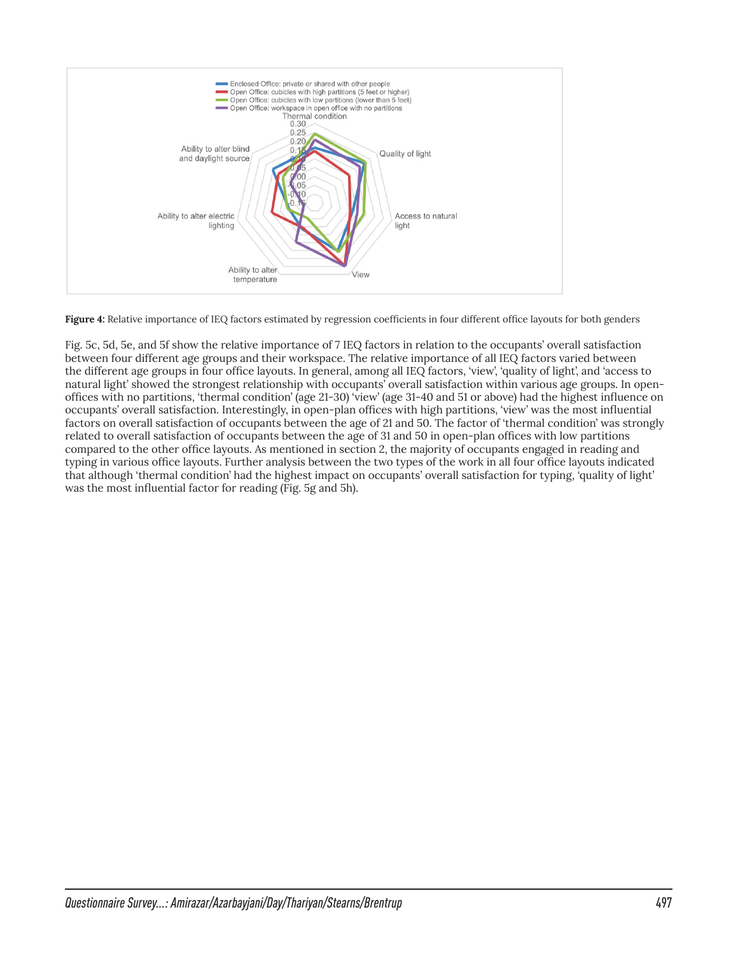

**Figure 4:** Relative importance of IEQ factors estimated by regression coefficients in four different office layouts for both genders

Fig. 5c, 5d, 5e, and 5f show the relative importance of 7 IEQ factors in relation to the occupants' overall satisfaction between four different age groups and their workspace. The relative importance of all IEQ factors varied between the different age groups in four office layouts. In general, among all IEQ factors, 'view', 'quality of light', and 'access to natural light' showed the strongest relationship with occupants' overall satisfaction within various age groups. In openoffices with no partitions, 'thermal condition' (age 21-30) 'view' (age 31-40 and 51 or above) had the highest influence on occupants' overall satisfaction. Interestingly, in open-plan offices with high partitions, 'view' was the most influential factors on overall satisfaction of occupants between the age of 21 and 50. The factor of 'thermal condition' was strongly related to overall satisfaction of occupants between the age of 31 and 50 in open-plan offices with low partitions compared to the other office layouts. As mentioned in section 2, the majority of occupants engaged in reading and typing in various office layouts. Further analysis between the two types of the work in all four office layouts indicated that although 'thermal condition' had the highest impact on occupants' overall satisfaction for typing, 'quality of light' was the most influential factor for reading (Fig. 5g and 5h).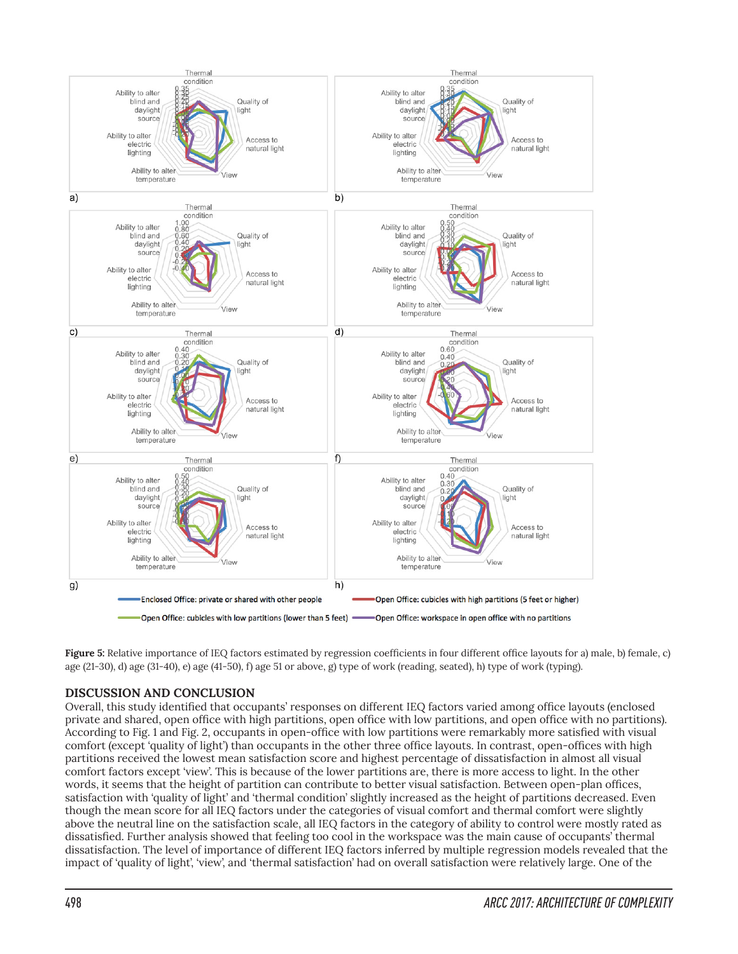

**Figure 5:** Relative importance of IEQ factors estimated by regression coefficients in four different office layouts for a) male, b) female, c) age (21-30), d) age (31-40), e) age (41-50), f) age 51 or above, g) type of work (reading, seated), h) type of work (typing).

# **DISCUSSION AND CONCLUSION**

Overall, this study identified that occupants' responses on different IEQ factors varied among office layouts (enclosed private and shared, open office with high partitions, open office with low partitions, and open office with no partitions). According to Fig. 1 and Fig. 2, occupants in open-office with low partitions were remarkably more satisfied with visual comfort (except 'quality of light') than occupants in the other three office layouts. In contrast, open-offices with high partitions received the lowest mean satisfaction score and highest percentage of dissatisfaction in almost all visual comfort factors except 'view'. This is because of the lower partitions are, there is more access to light. In the other words, it seems that the height of partition can contribute to better visual satisfaction. Between open-plan offices, satisfaction with 'quality of light' and 'thermal condition' slightly increased as the height of partitions decreased. Even though the mean score for all IEQ factors under the categories of visual comfort and thermal comfort were slightly above the neutral line on the satisfaction scale, all IEQ factors in the category of ability to control were mostly rated as dissatisfied. Further analysis showed that feeling too cool in the workspace was the main cause of occupants' thermal dissatisfaction. The level of importance of different IEQ factors inferred by multiple regression models revealed that the impact of 'quality of light', 'view', and 'thermal satisfaction' had on overall satisfaction were relatively large. One of the